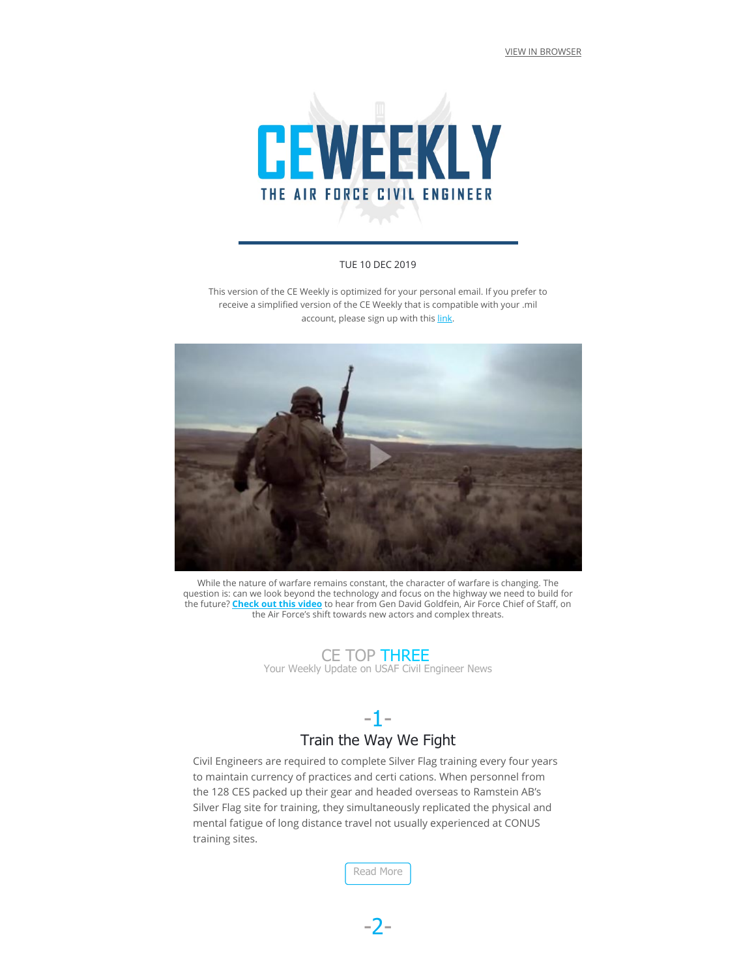[VIEW IN BROWSER](http://api.sx8.email/api/v1/track/campaign/click/UhTLhTm9hRwTYAVuVeys4H/92ZAGJzrsh1IhnLBLvCU1a)



#### TUE 10 DEC 2019

This version of the CE Weekly is optimized for your personal email. If you prefer to receive a simplified version of the CE Weekly that is compatible with your .mil account, please sign up with this [link.](http://api.sx8.email/api/v1/track/campaign/click/cVI6bWaZ7ZgXdwjWOZRSdh/92ZAGJzrsh1IhnLBLvCU1a)



While the nature of warfare remains constant, the character of warfare is changing. The question is: can we look beyond the technology and focus on the highway we need to build for the future? <mark>[Check out this video](http://api.sx8.email/api/v1/track/campaign/click/2zqerX2AdcPYGWGKt7pXri/92ZAGJzrsh1IhnLBLvCU1a)</mark> to hear from Gen David Goldfein, Air Force Chief of Staff, on the Air Force's shift towards new actors and complex threats.

#### CE TOP THREE

Your Weekly Update on USAF Civil Engineer News

# -1- Train the Way We Fight

Civil Engineers are required to complete Silver Flag training every four years to maintain currency of practices and certi cations. When personnel from the 128 CES packed up their gear and headed overseas to Ramstein AB's Silver Flag site for training, they simultaneously replicated the physical and mental fatigue of long distance travel not usually experienced at CONUS training sites.

[Read More](http://api.sx8.email/api/v1/track/campaign/click/X702E6JpGfMvZbANTyto0i/92ZAGJzrsh1IhnLBLvCU1a)

-2-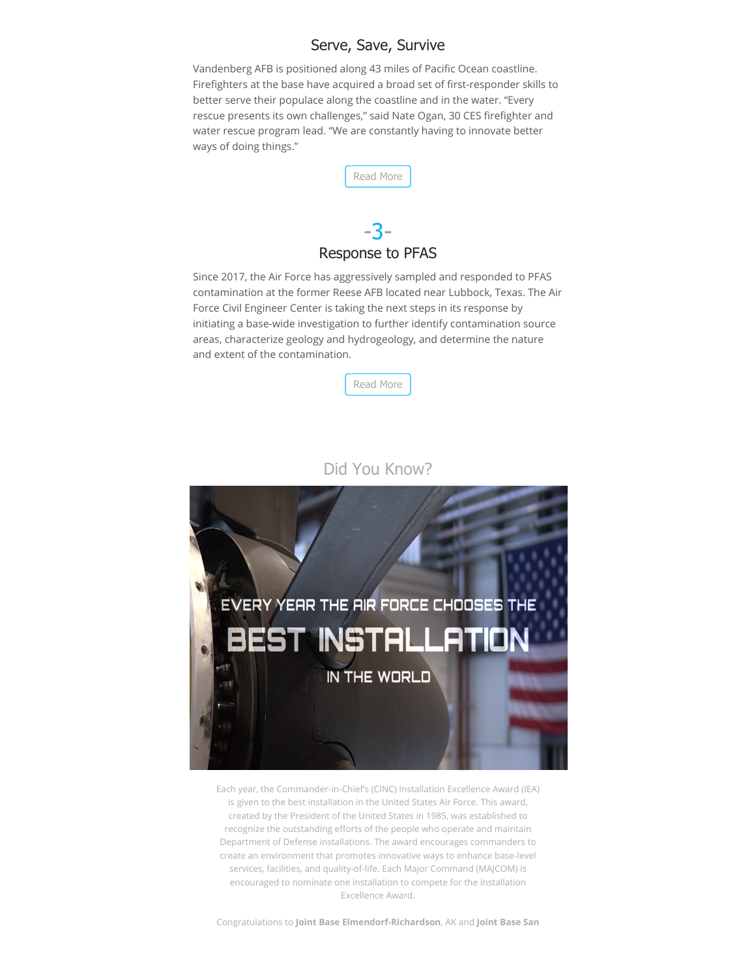#### Serve, Save, Survive

Vandenberg AFB is positioned along 43 miles of Pacific Ocean coastline. Firefighters at the base have acquired a broad set of first-responder skills to better serve their populace along the coastline and in the water. "Every rescue presents its own challenges," said Nate Ogan, 30 CES firefighter and water rescue program lead. "We are constantly having to innovate better ways of doing things."



## Response to PFAS

Since 2017, the Air Force has aggressively sampled and responded to PFAS contamination at the former Reese AFB located near Lubbock, Texas. The Air Force Civil Engineer Center is taking the next steps in its response by initiating a base-wide investigation to further identify contamination source areas, characterize geology and hydrogeology, and determine the nature and extent of the contamination.



#### Did You Know?



Each year, the Commander-in-Chief's (CINC) Installation Excellence Award (IEA) is given to the best installation in the United States Air Force. This award, created by the President of the United States in 1985, was established to recognize the outstanding efforts of the people who operate and maintain Department of Defense installations. The award encourages commanders to create an environment that promotes innovative ways to enhance base-level services, facilities, and quality-of-life. Each Major Command (MAJCOM) is encouraged to nominate one installation to compete for the Installation Excellence Award.

Congratulations to **Joint Base Elmendorf-Richardson**, AK and **Joint Base San**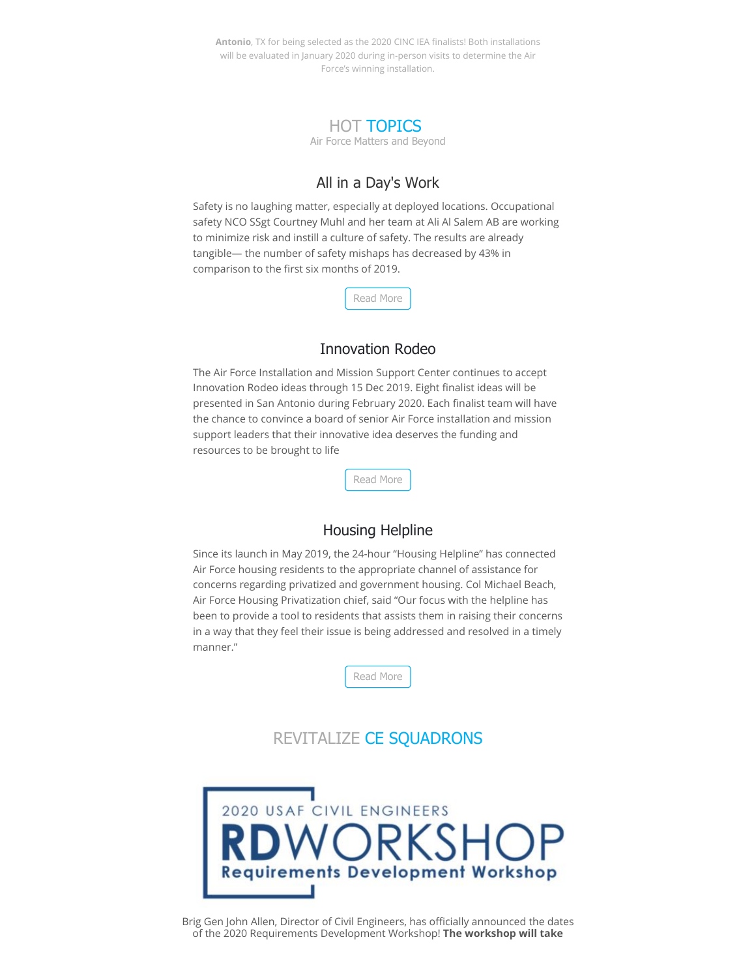Antonio, TX for being selected as the 2020 CINC IEA finalists! Both installations will be evaluated in January 2020 during in-person visits to determine the Air Force's winning installation.



### All in a Day's Work

Safety is no laughing matter, especially at deployed locations. Occupational safety NCO SSgt Courtney Muhl and her team at Ali Al Salem AB are working to minimize risk and instill a culture of safety. The results are already tangible— the number of safety mishaps has decreased by 43% in comparison to the first six months of 2019.

[Read More](http://api.sx8.email/api/v1/track/campaign/click/wasFHn3N7eK2QW3Bo3FA3R/92ZAGJzrsh1IhnLBLvCU1a)

#### Innovation Rodeo

The Air Force Installation and Mission Support Center continues to accept Innovation Rodeo ideas through 15 Dec 2019. Eight finalist ideas will be presented in San Antonio during February 2020. Each finalist team will have the chance to convince a board of senior Air Force installation and mission support leaders that their innovative idea deserves the funding and resources to be brought to life

[Read More](http://api.sx8.email/api/v1/track/campaign/click/Zn1bVsdDMox04u7u9w5zk5/92ZAGJzrsh1IhnLBLvCU1a)

### Housing Helpline

Since its launch in May 2019, the 24-hour "Housing Helpline" has connected Air Force housing residents to the appropriate channel of assistance for concerns regarding privatized and government housing. Col Michael Beach, Air Force Housing Privatization chief, said "Our focus with the helpline has been to provide a tool to residents that assists them in raising their concerns in a way that they feel their issue is being addressed and resolved in a timely manner."



## REVITALIZE CE SQUADRONS